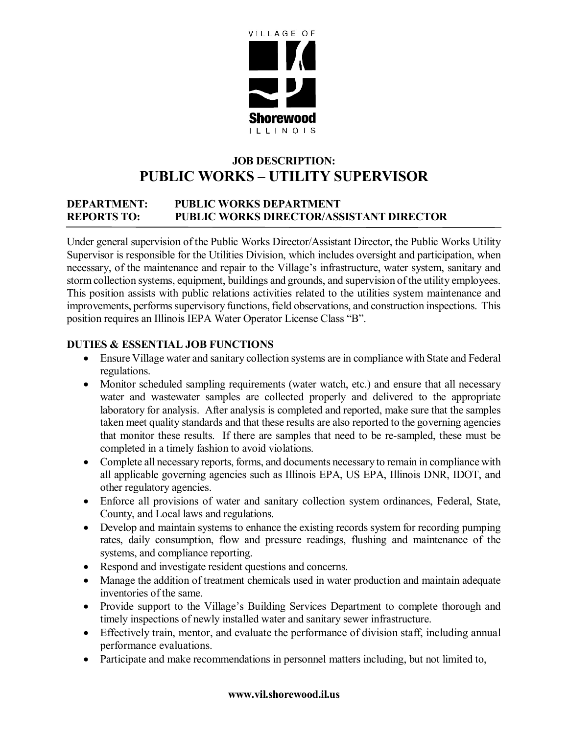

# **JOB DESCRIPTION: PUBLIC WORKS – UTILITY SUPERVISOR**

# **DEPARTMENT: PUBLIC WORKS DEPARTMENT REPORTS TO: PUBLIC WORKS DIRECTOR/ASSISTANT DIRECTOR**

Under general supervision of the Public Works Director/Assistant Director, the Public Works Utility Supervisor is responsible for the Utilities Division, which includes oversight and participation, when necessary, of the maintenance and repair to the Village's infrastructure, water system, sanitary and storm collection systems, equipment, buildings and grounds, and supervision of the utility employees. This position assists with public relations activities related to the utilities system maintenance and improvements, performs supervisory functions, field observations, and construction inspections. This position requires an Illinois IEPA Water Operator License Class "B".

### **DUTIES & ESSENTIAL JOB FUNCTIONS**

- Ensure Village water and sanitary collection systems are in compliance with State and Federal regulations.
- Monitor scheduled sampling requirements (water watch, etc.) and ensure that all necessary water and wastewater samples are collected properly and delivered to the appropriate laboratory for analysis. After analysis is completed and reported, make sure that the samples taken meet quality standards and that these results are also reported to the governing agencies that monitor these results. If there are samples that need to be re-sampled, these must be completed in a timely fashion to avoid violations.
- Complete all necessary reports, forms, and documents necessary to remain in compliance with all applicable governing agencies such as Illinois EPA, US EPA, Illinois DNR, IDOT, and other regulatory agencies.
- Enforce all provisions of water and sanitary collection system ordinances, Federal, State, County, and Local laws and regulations.
- Develop and maintain systems to enhance the existing records system for recording pumping rates, daily consumption, flow and pressure readings, flushing and maintenance of the systems, and compliance reporting.
- Respond and investigate resident questions and concerns.
- Manage the addition of treatment chemicals used in water production and maintain adequate inventories of the same.
- Provide support to the Village's Building Services Department to complete thorough and timely inspections of newly installed water and sanitary sewer infrastructure.
- Effectively train, mentor, and evaluate the performance of division staff, including annual performance evaluations.
- Participate and make recommendations in personnel matters including, but not limited to,

#### **www.vil.shorewood.il.us**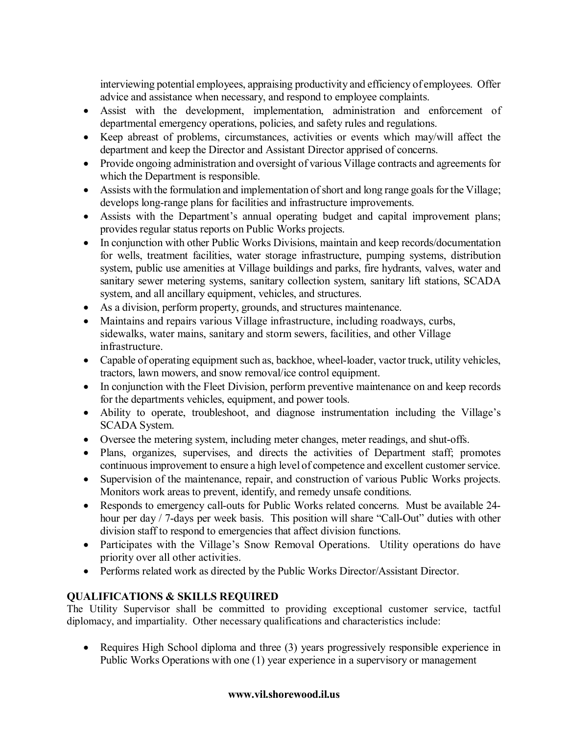interviewing potential employees, appraising productivity and efficiency of employees. Offer advice and assistance when necessary, and respond to employee complaints.

- Assist with the development, implementation, administration and enforcement of departmental emergency operations, policies, and safety rules and regulations.
- Keep abreast of problems, circumstances, activities or events which may/will affect the department and keep the Director and Assistant Director apprised of concerns.
- Provide ongoing administration and oversight of various Village contracts and agreements for which the Department is responsible.
- Assists with the formulation and implementation of short and long range goals for the Village; develops long-range plans for facilities and infrastructure improvements.
- Assists with the Department's annual operating budget and capital improvement plans; provides regular status reports on Public Works projects.
- In conjunction with other Public Works Divisions, maintain and keep records/documentation for wells, treatment facilities, water storage infrastructure, pumping systems, distribution system, public use amenities at Village buildings and parks, fire hydrants, valves, water and sanitary sewer metering systems, sanitary collection system, sanitary lift stations, SCADA system, and all ancillary equipment, vehicles, and structures.
- As a division, perform property, grounds, and structures maintenance.
- Maintains and repairs various Village infrastructure, including roadways, curbs, sidewalks, water mains, sanitary and storm sewers, facilities, and other Village infrastructure.
- Capable of operating equipment such as, backhoe, wheel-loader, vactor truck, utility vehicles, tractors, lawn mowers, and snow removal/ice control equipment.
- In conjunction with the Fleet Division, perform preventive maintenance on and keep records for the departments vehicles, equipment, and power tools.
- Ability to operate, troubleshoot, and diagnose instrumentation including the Village's SCADA System.
- Oversee the metering system, including meter changes, meter readings, and shut-offs.
- Plans, organizes, supervises, and directs the activities of Department staff; promotes continuous improvement to ensure a high level of competence and excellent customer service.
- Supervision of the maintenance, repair, and construction of various Public Works projects. Monitors work areas to prevent, identify, and remedy unsafe conditions.
- Responds to emergency call-outs for Public Works related concerns. Must be available 24 hour per day / 7-days per week basis. This position will share "Call-Out" duties with other division staff to respond to emergencies that affect division functions.
- Participates with the Village's Snow Removal Operations. Utility operations do have priority over all other activities.
- Performs related work as directed by the Public Works Director/Assistant Director.

# **QUALIFICATIONS & SKILLS REQUIRED**

The Utility Supervisor shall be committed to providing exceptional customer service, tactful diplomacy, and impartiality. Other necessary qualifications and characteristics include:

• Requires High School diploma and three (3) years progressively responsible experience in Public Works Operations with one (1) year experience in a supervisory or management

#### **www.vil.shorewood.il.us**